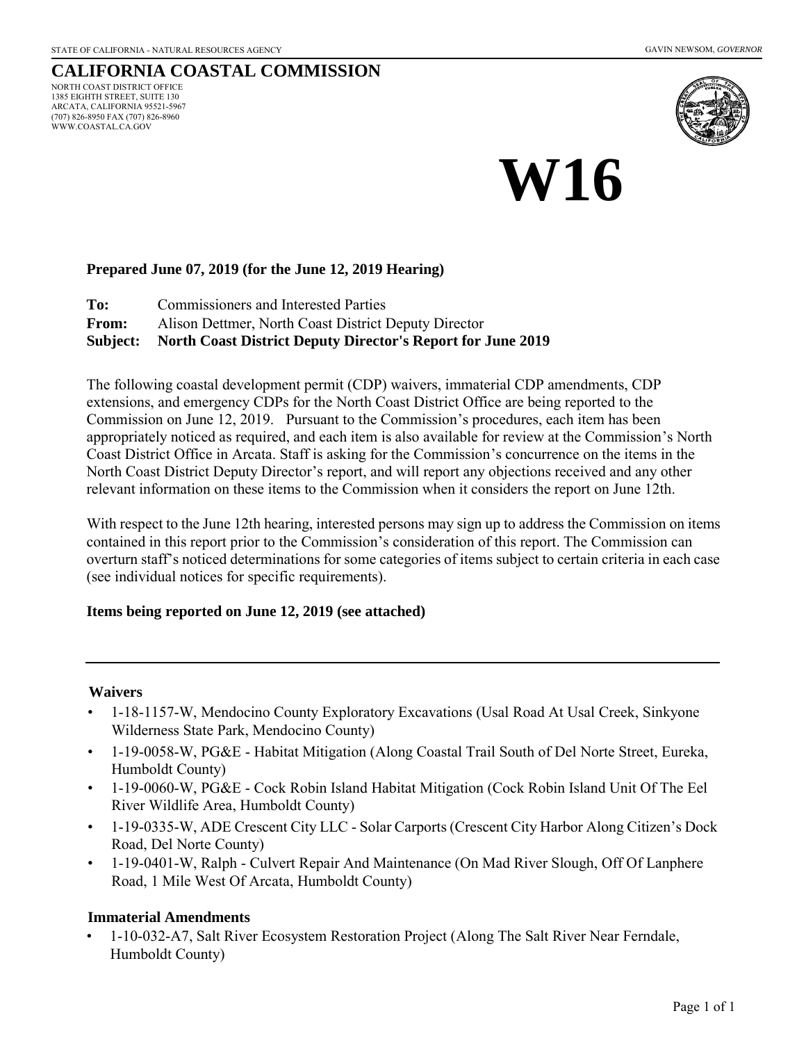WWW.COASTAL.CA.GOV

#### **CALIFORNIA COASTAL COMMISSION** NORTH COAST DISTRICT OFFICE 1385 EIGHTH STREET, SUITE 130 ARCATA, CALIFORNIA 95521-5967 (707) 826-8950 FAX (707) 826-8960



# **W16**

#### **Prepared June 07, 2019 (for the June 12, 2019 Hearing)**

**To:** Commissioners and Interested Parties

**From:** Alison Dettmer, North Coast District Deputy Director

**Subject: North Coast District Deputy Director's Report for June 2019** 

The following coastal development permit (CDP) waivers, immaterial CDP amendments, CDP extensions, and emergency CDPs for the North Coast District Office are being reported to the Commission on June 12, 2019. Pursuant to the Commission's procedures, each item has been appropriately noticed as required, and each item is also available for review at the Commission's North Coast District Office in Arcata. Staff is asking for the Commission's concurrence on the items in the North Coast District Deputy Director's report, and will report any objections received and any other relevant information on these items to the Commission when it considers the report on June 12th.

With respect to the June 12th hearing, interested persons may sign up to address the Commission on items contained in this report prior to the Commission's consideration of this report. The Commission can overturn staff's noticed determinations for some categories of items subject to certain criteria in each case (see individual notices for specific requirements).

#### **Items being reported on June 12, 2019 (see attached)**

#### **Waivers**

- 1-18-1157-W, Mendocino County Exploratory Excavations (Usal Road At Usal Creek, Sinkyone Wilderness State Park, Mendocino County)
- 1-19-0058-W, PG&E Habitat Mitigation (Along Coastal Trail South of Del Norte Street, Eureka, Humboldt County)
- 1-19-0060-W, PG&E Cock Robin Island Habitat Mitigation (Cock Robin Island Unit Of The Eel River Wildlife Area, Humboldt County)
- 1-19-0335-W, ADE Crescent City LLC Solar Carports (Crescent City Harbor Along Citizen's Dock Road, Del Norte County)
- 1-19-0401-W, Ralph Culvert Repair And Maintenance (On Mad River Slough, Off Of Lanphere Road, 1 Mile West Of Arcata, Humboldt County)

#### **Immaterial Amendments**

• 1-10-032-A7, Salt River Ecosystem Restoration Project (Along The Salt River Near Ferndale, Humboldt County)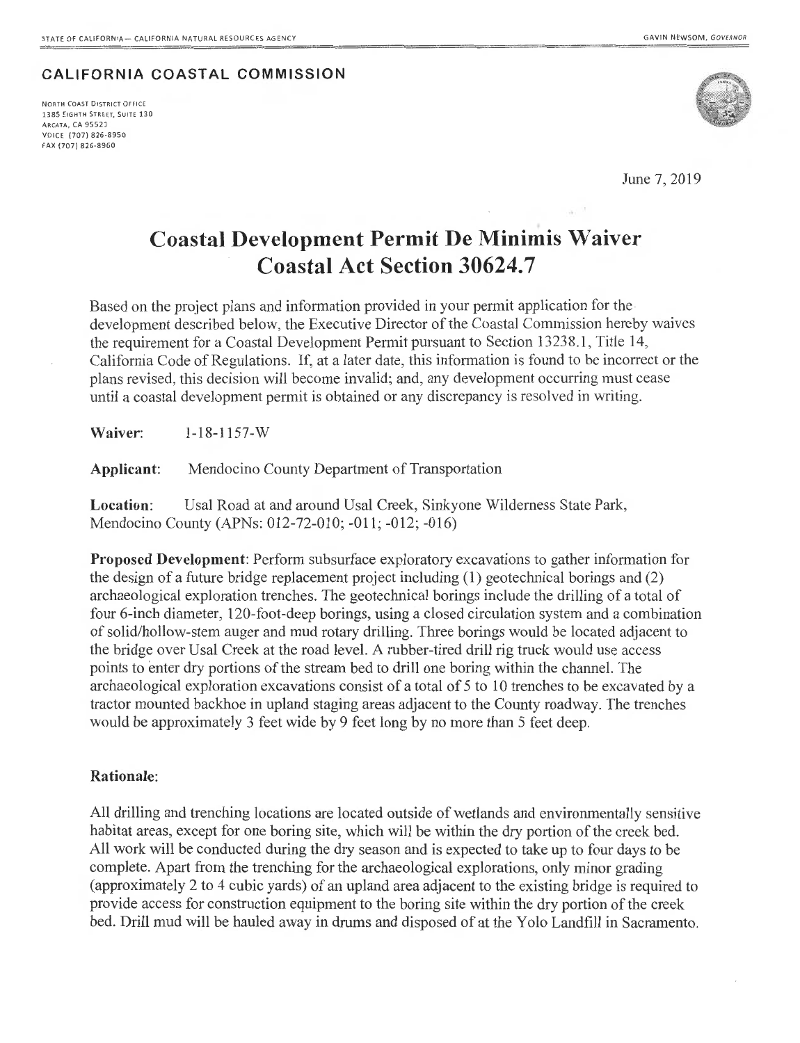#### CALIFORNIA COASTAL COMMISSION

NORTH COAST DISTRICT OFFICE 1385 EIGHTH STREET, SUITE 130 ARCATA, CA 95521 VOICE (707) 826-8950 FAX (707) 826-8960



June 7, 2019

### **Coastal Development Permit De Minimis Waiver Coastal Act Section 30624.7**

Based on the project plans and information provided in your permit application for the development described below, the Executive Director of the Coastal Commission hereby waives the requirement for a Coastal Development Permit pursuant to Section 13238.1, Title 14, California Code of Regulations. If, at a later date, this information is found to be incorrect or the plans revised, this decision will become invalid; and, any development occurring must cease until a coastal development permit is obtained or any discrepancy is resolved in writing.

Waiver: 1-18-1157-W

Applicant: Mendocino County Department of Transportation

Location: Usal Road at and around Usal Creek, Sinkyone Wilderness State Park, Mendocino County (APNs: 012-72-010; -011; -012; -016)

Proposed Development: Perform subsurface exploratory excavations to gather information for the design of a future bridge replacement project including (1) geotechnical borings and (2) archaeological exploration trenches. The geotechnical borings include the drilling of a total of four 6-inch diameter, 120-foot-deep borings, using a closed circulation system and a combination of solid/hollow-stem auger and mud rotary drilling. Three borings would be located adjacent to the bridge over Usal Creek at the road level. A rubber-tired drill rig truck would use access points to enter dry portions of the stream bed to drill one boring within the channel. The archaeological exploration excavations consist of a total of 5 to 10 trenches to be excavated by a tractor mounted backhoe in upland staging areas adjacent to the County roadway. The trenches would be approximately 3 feet wide by 9 feet long by no more than 5 feet deep.

#### Rationale:

All drilling and trenching locations are located outside of wetlands and environmentally sensitive habitat areas, except for one boring site, which will be within the dry portion of the creek bed. All work will be conducted during the dry season and is expected to take up to four days to be complete. Apart from the trenching for the archaeological explorations, only minor grading (approximately 2 to 4 cubic yards) of an upland area adjacent to the existing bridge is required to provide access for construction equipment to the boring site within the dry portion of the creek bed. Drill mud will be hauled away in drums and disposed of at the Yolo Landfill in Sacramento.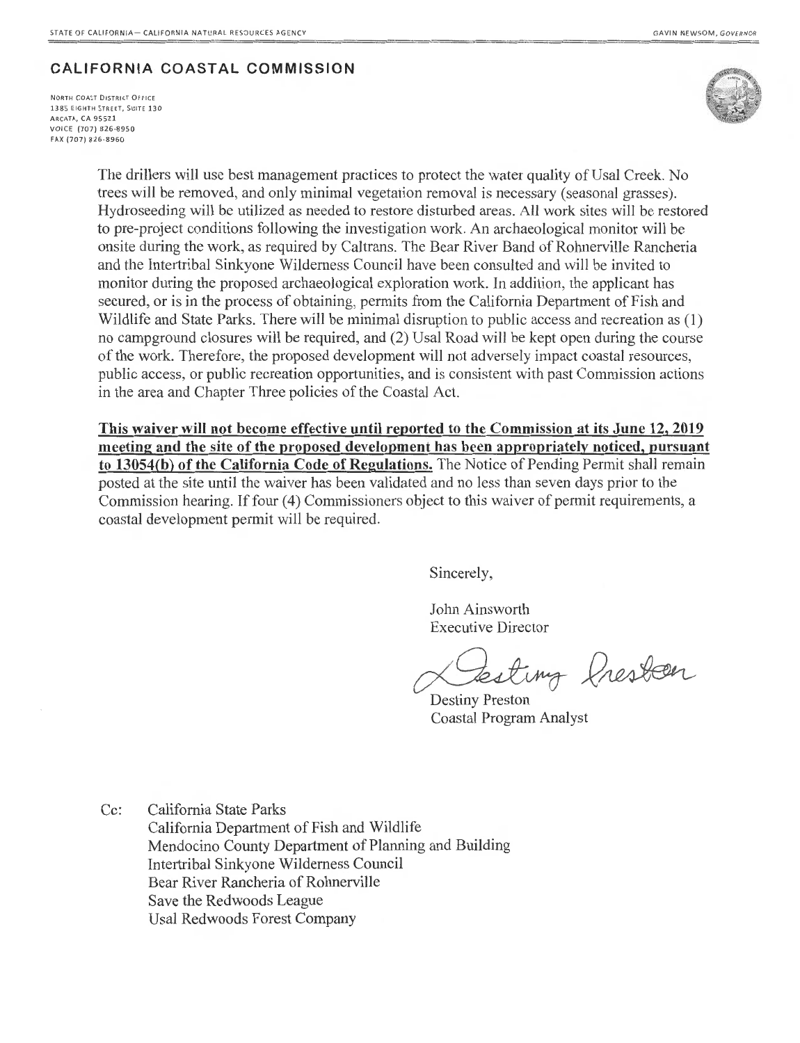### **CALIFORNIA COASTAL COMMISSION**

**NORTH COAST DISTRICT OFFICE 13 85 EIG HT H STREET, SUITE 130**  ARCATA, CA 95521 VOICE (707) 826-8950 FAX (707) 826-8960



The drillers will use best management practices to protect the water quality of Usal Creek. No trees will be removed, and only minimal vegetation removal is necessary (seasonal grasses). Hydroseeding will be utilized as needed to restore disturbed areas. All work sites will be restored to pre-project conditions following the investigation work. An archaeological monitor will be onsite during the work, as required by Caltrans. The Bear River Band of Rohnerville Rancheria and the Intertribal Sinkyone Wilderness Council have been consulted and will be invited to monitor during the proposed archaeological exploration work. In addition, the applicant has secured, or is in the process of obtaining, permits from the California Department of Fish and Wildlife and State Parks. There will be minimal disruption to public access and recreation as (1) no campground closures will be required, and (2) Usa! Road will be kept open during the course of the work. Therefore, the proposed development will not adversely impact coastal resources, public access, or public recreation opportunities, and is consistent with past Commission actions in the area and Chapter Three policies of the Coastal Act.

**This waiver will not become effective until reported to the Commission at its June 12, 2019 meeting and the site of the proposed development has been appropriately noticed, pursuant to 13054(b) of the California Code of Regulations.** The Notice of Pending Permit shall remain posted at the site until the waiver has been validated and no less than seven days prior to the Commission hearing. If four (4) Commissioners object to this waiver of permit requirements, a coastal development permit will be required.

Sincerely,

John Ainsworth Executive Director

testing fresten

Destiny Preston Coastal Program Analyst

Cc: California State Parks California Department of Fish and Wildlife Mendocino County Department of Planning and Building Intertribal Sinkyone Wilderness Council Bear River Rancheria of Rohnerville Save the Redwoods League Usal Redwoods Forest Company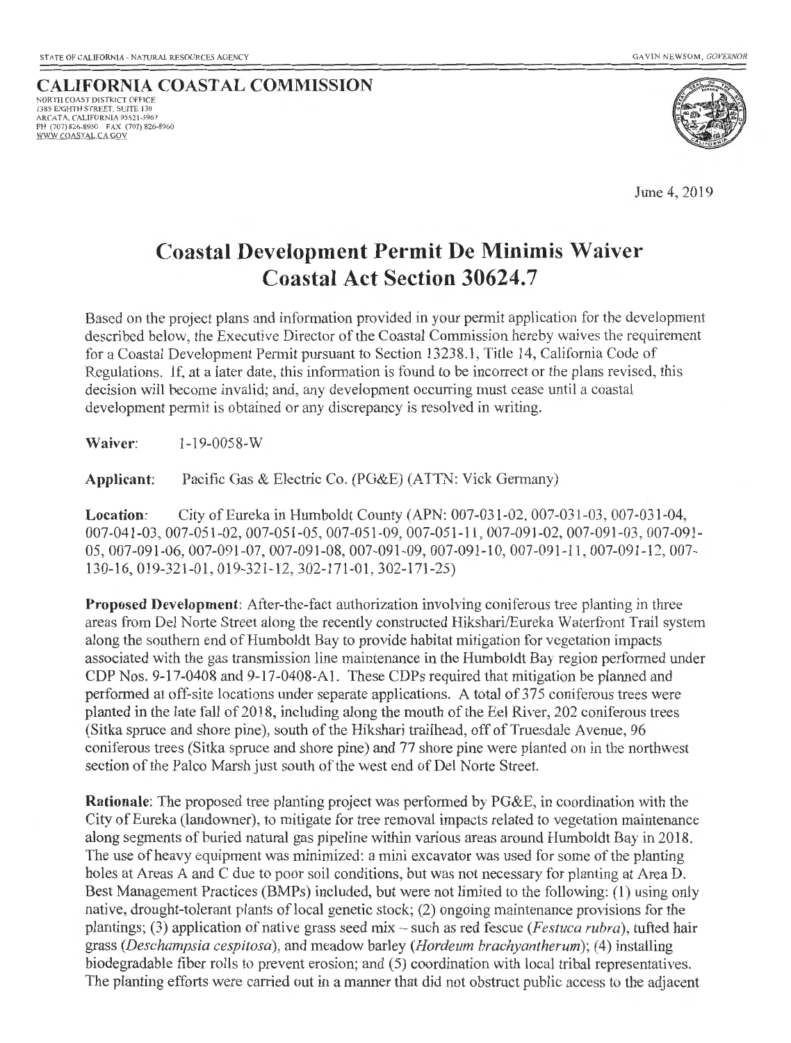**CALIFORNIA COASTAL COMMISSION** NORTH COAST DISTRICT OFFICE 1385 EIGHTH STREET, SUITE 130 ARCATA, CALIFORNIA 95521 -5967 PH (707) 826-8950 FAX (707) 826-8960 WWW.COAST ALCA.GOV



June 4, 2019

### **Coastal Development Permit De Minimis Waiver Coastal Act Section 30624.7**

Based on the project plans and information provided in your permit application for the development described below, the Executive Director of the Coastal Commission hereby waives the requirement for a Coastal Development Permit pursuant to Section 13238.1, Title 14, California Code of Regulations. If, at a later date, this information is found to be incorrect or the plans revised, this decision will become invalid; and, any development occurring must cease until a coastal development permit is obtained or any discrepancy is resolved in writing.

**Waiver:** 1-19-0058-w

**Applicant:** Pacific Gas & Electric Co. (PG&E) (ATTN: Vick Germany)

**Location:** City of Eureka in Humboldt County (APN: 007-031-02, 007-031-03, 007-031-04, 007-041-03,007-051-02, 007-051-05,007-051-09, 007-051-11,007-091-02, 007-091-03, 007-091- 05,007-091-06,007-091-07,007-091-08,007-091-09,007-091-10,007-091-11 , 007-091-12, 007- 130-16, 019-321-01, 019-321-12,302-171-01 , 302-171-25)

**Proposed Development:** After-the-fact authorization involving coniferous tree planting in three areas from Del Norte Street along the recently constructed Hikshari/Eureka Waterfront Trail system along the southern end of Humboldt Bay to provide habitat mitigation for vegetation impacts associated with the gas transmission line maintenance in the Humboldt Bay region performed under CDP Nos. 9-17-0408 and 9-17-0408-Al. These CDPs required that mitigation be planned and performed at off-site locations under separate applications. A total of 375 coniferous trees were planted in the late fall of 2018, including along the mouth of the Eel River, 202 coniferous trees (Sitka spruce and shore pine), south of the Hikshari trailhead, off of Truesdale A venue, 96 coniferous trees (Sitka spruce and shore pine) and 77 shore pine were planted on in the northwest section of the Palco Marsh just south of the west end of Del Norte Street.

**Rationale:** The proposed tree planting project was performed by PG&E, in coordination with the City of Eureka (landowner), to mitigate for tree removal impacts related to vegetation maintenance along segments of buried natural gas pipeline within various areas around Humboldt Bay in 2018. The use of heavy equipment was minimized: a mini excavator was used for some of the planting holes at Areas A and C due to poor soil conditions, but was not necessary for planting at Area D. Best Management Practices (BMPs) included, but were not limited to the following: (1) using only native, drought-tolerant plants of local genetic stock; (2) ongoing maintenance provisions for the plantings; (3) application of native grass seed mix- such as red fescue *(Festuca rubra),* tufted hair grass *(Deschampsia cespitosa),* and meadow barley *(Hordeum brachyantherum);* (4) installing biodegradable fiber rolls to prevent erosion; and (5) coordination with local tribal representatives. The planting efforts were carried out in a manner that did not obstruct public access to the adjacent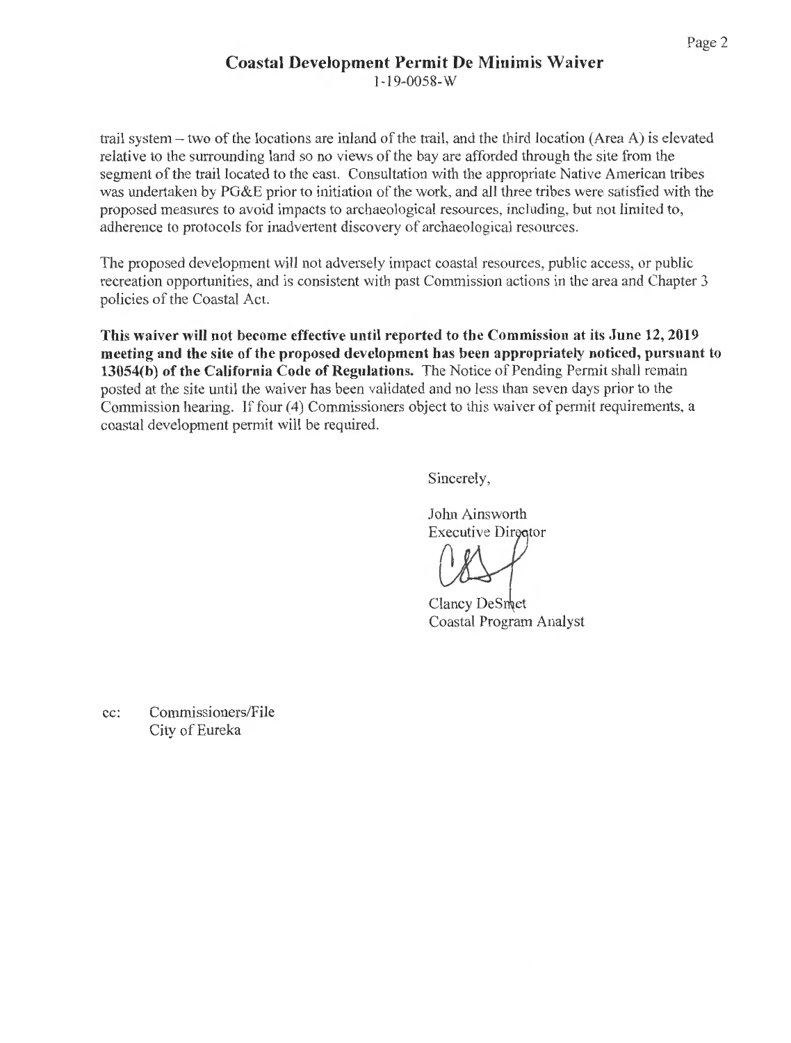### **Coastal Development Permit De Minimis Waiver**

1-19-0058-w

trail system- two of the locations are inland of the trail, and the third location (Area A) is elevated relative to the surrounding land so no views of the bay are afforded through the site from the segment of the trail located to the east. Consultation with the appropriate Native American tribes was undertaken by PG&E prior to initiation of the work, and all three tribes were satisfied with the proposed measures to avoid impacts to archaeological resources, including, but not limited to, adherence to protocols for inadvertent discovery of archaeological resources.

The proposed development will not adversely impact coastal resources, public access, or public recreation opportunities, and is consistent with past Commission actions in the area and Chapter 3 policies of the Coastal Act.

**This waiver will not become effective until reported to the Commission at its June 12, 2019 meeting and the site of the proposed development has been appropriately noticed, pursuant to 13054(b) of the California Code of Regulations.** The Notice of Pending Permit shall remain posted at the site until the waiver has been validated and no less than seven days prior to the Commission hearing. If four (4) Commissioners object to this waiver of permit requirements, a coastal development permit will be required.

Sincerely,

John Ainsworth Executive Director

Clancy DeSmet Coastal Program Analyst

cc: Commissioners/File City of Eureka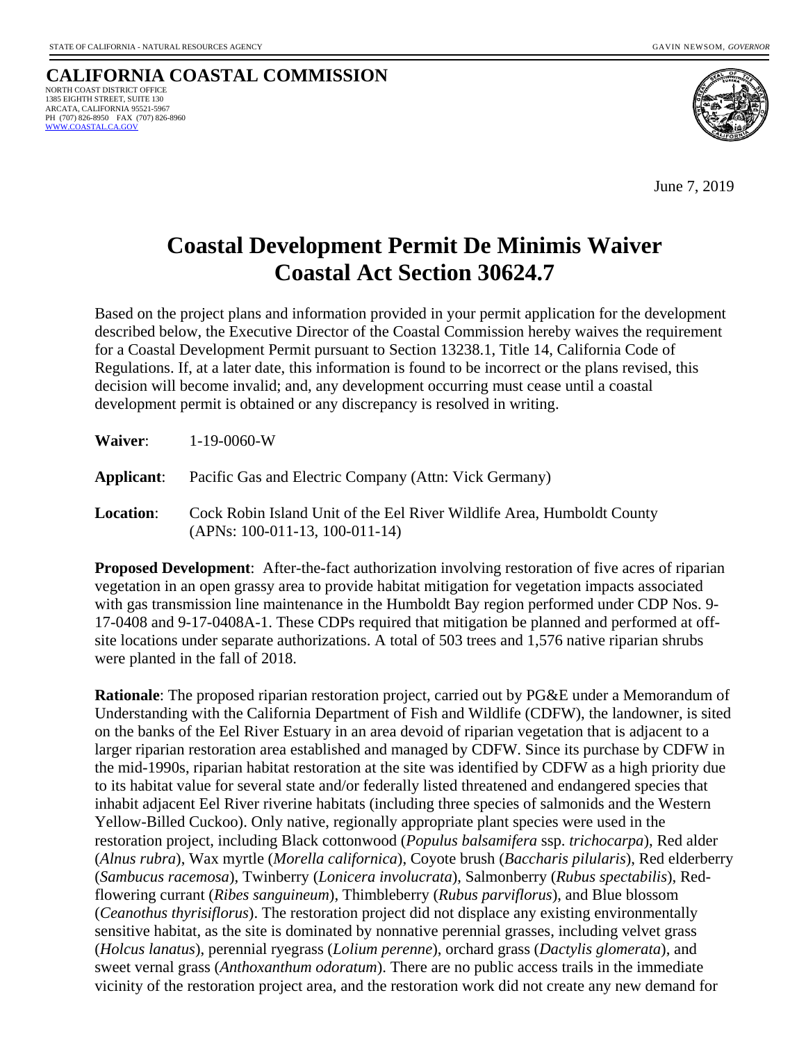#### **CALIFORNIA COASTAL COMMISSION** NORTH COAST DISTRICT OFFICE 1385 EIGHTH STREET, SUITE 130 ARCATA, CALIFORNIA 95521-5967 PH (707) 826-8950 FAX (707) 826-8960<br>WWW.COASTAL.CA.GOV



June 7, 2019

# **Coastal Development Permit De Minimis Waiver Coastal Act Section 30624.7**

Based on the project plans and information provided in your permit application for the development described below, the Executive Director of the Coastal Commission hereby waives the requirement for a Coastal Development Permit pursuant to Section 13238.1, Title 14, California Code of Regulations. If, at a later date, this information is found to be incorrect or the plans revised, this decision will become invalid; and, any development occurring must cease until a coastal development permit is obtained or any discrepancy is resolved in writing.

| Waiver: | $1 - 19 - 0060 - W$ |
|---------|---------------------|
|         |                     |

**Applicant**: Pacific Gas and Electric Company (Attn: Vick Germany)

**Location**: Cock Robin Island Unit of the Eel River Wildlife Area, Humboldt County (APNs: 100-011-13, 100-011-14)

**Proposed Development**: After-the-fact authorization involving restoration of five acres of riparian vegetation in an open grassy area to provide habitat mitigation for vegetation impacts associated with gas transmission line maintenance in the Humboldt Bay region performed under CDP Nos. 9- 17-0408 and 9-17-0408A-1. These CDPs required that mitigation be planned and performed at offsite locations under separate authorizations. A total of 503 trees and 1,576 native riparian shrubs were planted in the fall of 2018.

**Rationale**: The proposed riparian restoration project, carried out by PG&E under a Memorandum of Understanding with the California Department of Fish and Wildlife (CDFW), the landowner, is sited on the banks of the Eel River Estuary in an area devoid of riparian vegetation that is adjacent to a larger riparian restoration area established and managed by CDFW. Since its purchase by CDFW in the mid-1990s, riparian habitat restoration at the site was identified by CDFW as a high priority due to its habitat value for several state and/or federally listed threatened and endangered species that inhabit adjacent Eel River riverine habitats (including three species of salmonids and the Western Yellow-Billed Cuckoo). Only native, regionally appropriate plant species were used in the restoration project, including Black cottonwood (*Populus balsamifera* ssp. *trichocarpa*), Red alder (*Alnus rubra*), Wax myrtle (*Morella californica*), Coyote brush (*Baccharis pilularis*), Red elderberry (*Sambucus racemosa*), Twinberry (*Lonicera involucrata*), Salmonberry (*Rubus spectabilis*), Redflowering currant (*Ribes sanguineum*), Thimbleberry (*Rubus parviflorus*), and Blue blossom (*Ceanothus thyrisiflorus*). The restoration project did not displace any existing environmentally sensitive habitat, as the site is dominated by nonnative perennial grasses, including velvet grass (*Holcus lanatus*), perennial ryegrass (*Lolium perenne*), orchard grass (*Dactylis glomerata*), and sweet vernal grass (*Anthoxanthum odoratum*). There are no public access trails in the immediate vicinity of the restoration project area, and the restoration work did not create any new demand for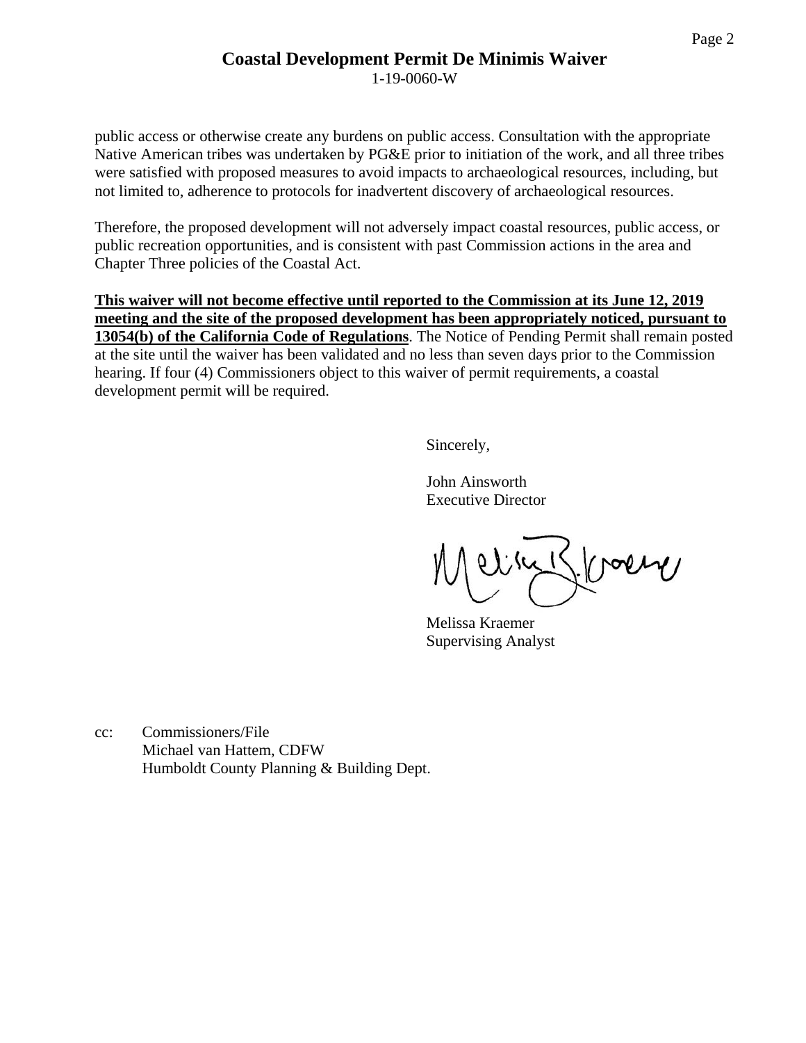### **Coastal Development Permit De Minimis Waiver**

1-19-0060-W

public access or otherwise create any burdens on public access. Consultation with the appropriate Native American tribes was undertaken by PG&E prior to initiation of the work, and all three tribes were satisfied with proposed measures to avoid impacts to archaeological resources, including, but not limited to, adherence to protocols for inadvertent discovery of archaeological resources.

Therefore, the proposed development will not adversely impact coastal resources, public access, or public recreation opportunities, and is consistent with past Commission actions in the area and Chapter Three policies of the Coastal Act.

**This waiver will not become effective until reported to the Commission at its June 12, 2019 meeting and the site of the proposed development has been appropriately noticed, pursuant to 13054(b) of the California Code of Regulations**. The Notice of Pending Permit shall remain posted at the site until the waiver has been validated and no less than seven days prior to the Commission hearing. If four (4) Commissioners object to this waiver of permit requirements, a coastal development permit will be required.

Sincerely,

John Ainsworth Executive Director

Fragin  $\frac{1}{2}$ 

Melissa Kraemer Supervising Analyst

cc: Commissioners/File Michael van Hattem, CDFW Humboldt County Planning & Building Dept.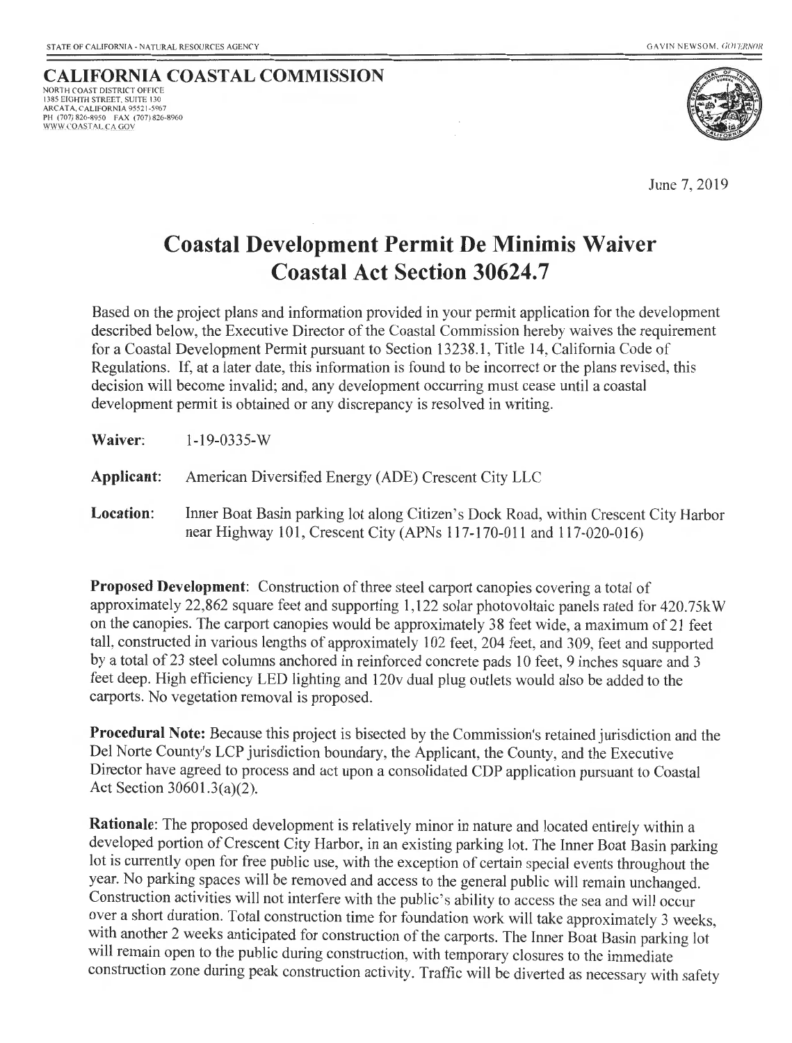### **CALIFORNIA COASTAL COMMISSION**

NORTH COAST DISTRICT OFFICE 1385 EIGHTH STREET. SUITE 130 ARCATA. CALIFORNIA 95521 -5967 PH (707) 826-8950 FAX (707) 826-8960 WWW.COASTALC A GOV



June 7, 2019

# **Coastal Development Permit De Minimis Waiver Coastal Act Section 30624.7**

Based on the project plans and information provided in your permit application for the development described below, the Executive Director of the Coastal Commission hereby waives the requirement for a Coastal Development Permit pursuant to Section 13238.1, Title 14, California Code of Regulations. If, at a later date, this information is found to be incorrect or the plans revised, this decision will become invalid; and, any development occurring must cease until a coastal development permit is obtained or any discrepancy is resolved in writing.

**Applicant:** American Diversified Energy (ADE) Crescent City LLC

**Location:** Inner Boat Basin parking lot along Citizen's Dock Road, within Crescent City Harbor near Highway 101, Crescent City (APNs 117-170-011 and 117-020-016)

**Proposed Development:** Construction of three steel carport canopies covering a total of approximately 22,862 square feet and supporting 1,122 solar photovoltaic panels rated for 420. 75k W on the canopies. The carport canopies would be approximately 38 feet wide, a maximum of21 feet tall, constructed in various lengths of approximately 102 feet, 204 feet, and 309, feet and supported by a total of23 steel columns anchored in reinforced concrete pads 10 feet, 9 inches square and 3 feet deep. High efficiency LED lighting and 120v dual plug outlets would also be added to the carports. No vegetation removal is proposed.

**Procedural Note:** Because this project is bisected by the Commission's retained jurisdiction and the Del Norte County's LCP jurisdiction boundary, the Applicant, the County, and the Executive Director have agreed to process and act upon a consolidated CDP application pursuant to Coastal Act Section 30601.3(a)(2).

**Rationale:** The proposed development is relatively minor in nature and located entirely within a developed portion of Crescent City Harbor, in an existing parking lot. The Inner Boat Basin parking lot is currently open for free public use, with the exception of certain special events throughout the year. No parking spaces will be removed and access to the general public will remain unchanged. Construction activities will not interfere with the public's ability to access the sea and will occur over a short duration. Total construction time for foundation work will take approximately 3 weeks, with another 2 weeks anticipated for construction of the carports. The Inner Boat Basin parking lot will remain open to the public during construction, with temporary closures to the immediate construction zone during peak construction activity. Traffic will be diverted as necessary with safety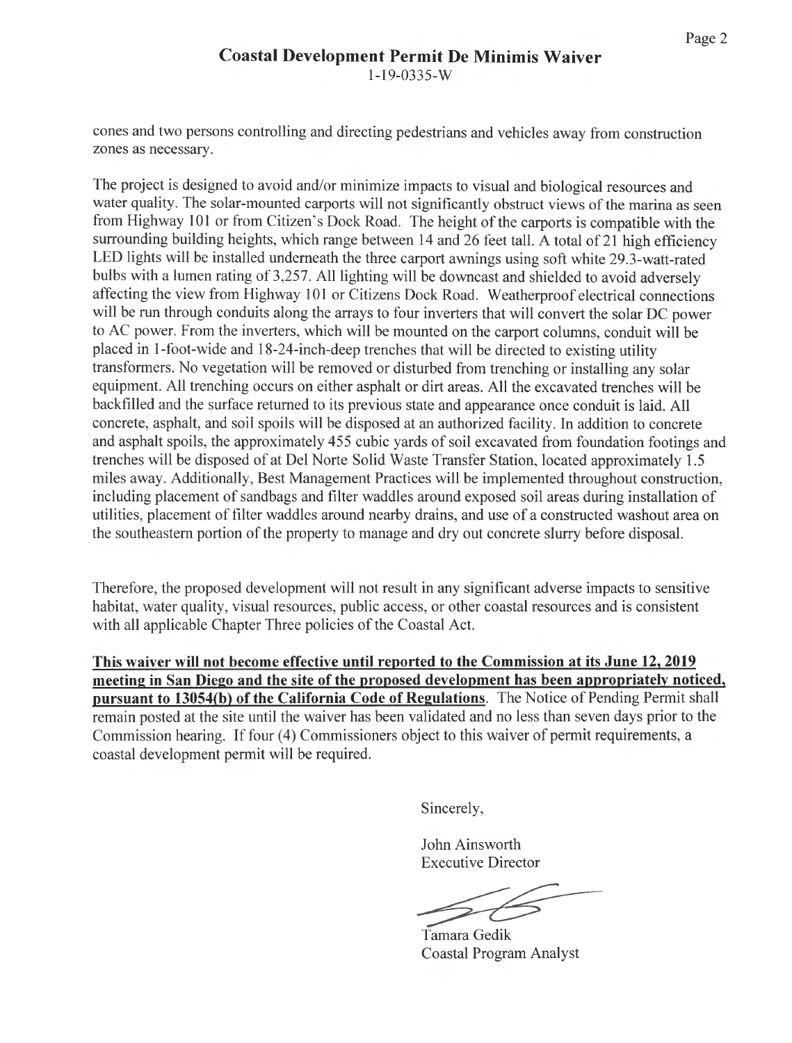cones and two persons controlling and directing pedestrians and vehicles away from construction zones as necessary.

The project is designed to avoid and/or minimize impacts to visual and biological resources and water quality. The solar-mounted carports will not significantly obstruct views of the marina as seen from Highway 101 or from Citizen's Dock Road. The height of the carports is compatible with the surrounding building heights, which range between 14 and 26 feet tall. A total of 21 high efficiency LED lights will be installed underneath the three carport awnings using soft white 29.3-watt-rated bulbs with a lumen rating of 3,257. All lighting will be downcast and shielded to avoid adversely affecting the view from Highway 101 or Citizens Dock Road. Weatherproof electrical connections will be run through conduits along the arrays to four inverters that will convert the solar DC power to AC power. From the inverters, which will be mounted on the carport columns, conduit will be placed in 1-foot-wide and 18-24-inch-deep trenches that will be directed to existing utility transformers. No vegetation will be removed or disturbed from trenching or installing any solar equipment. All trenching occurs on either asphalt or dirt areas. All the excavated trenches will be backfilled and the surface returned to its previous state and appearance once conduit is laid. All concrete, asphalt, and soil spoils will be disposed at an authorized facility. In addition to concrete and asphalt spoils, the approximately 455 cubic yards of soil excavated from foundation footings and trenches will be disposed of at Del Norte Solid Waste Transfer Station, located approximately 1.5 miles away. Additionally, Best Management Practices will be implemented throughout construction, including placement of sandbags and filter waddles around exposed soil areas during installation of utilities, placement of filter waddles around nearby drains, and use of a constructed washout area on the southeastern portion of the property to manage and dry out concrete slurry before disposal.

Therefore, the proposed development will not result in any significant adverse impacts to sensitive habitat, water quality, visual resources, public access, or other coastal resources and is consistent with all applicable Chapter Three policies of the Coastal Act.

**This waiver will not become effective until reported to the Commission at its June 12, 2019 meeting in San Diego and the site of the proposed development has been appropriately noticed, pursuant to 13054(b) of the California Code of Regulations.** The Notice of Pending Permit shall remain posted at the site until the waiver has been validated and no less than seven days prior to the Commission hearing. If four (4) Commissioners object to this waiver of permit requirements, a coastal development permit will be required.

Sincerely,

John Ainsworth Executive Director

Tamara Gedik Coastal Program Analyst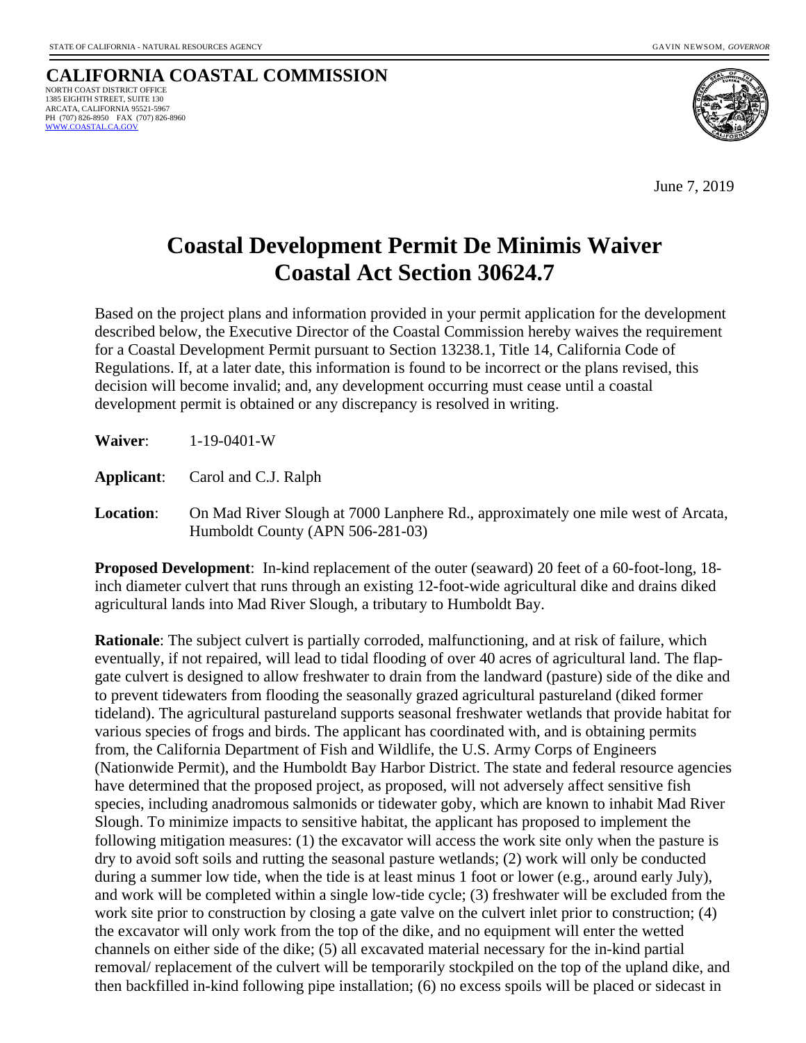#### **CALIFORNIA COASTAL COMMISSION** NORTH COAST DISTRICT OFFICE 1385 EIGHTH STREET, SUITE 130 ARCATA, CALIFORNIA 95521-5967 PH (707) 826-8950 FAX (707) 826-8960<br>WWW.COASTAL.CA.GOV



June 7, 2019

# **Coastal Development Permit De Minimis Waiver Coastal Act Section 30624.7**

Based on the project plans and information provided in your permit application for the development described below, the Executive Director of the Coastal Commission hereby waives the requirement for a Coastal Development Permit pursuant to Section 13238.1, Title 14, California Code of Regulations. If, at a later date, this information is found to be incorrect or the plans revised, this decision will become invalid; and, any development occurring must cease until a coastal development permit is obtained or any discrepancy is resolved in writing.

**Applicant**: Carol and C.J. Ralph

**Location**: On Mad River Slough at 7000 Lanphere Rd., approximately one mile west of Arcata, Humboldt County (APN 506-281-03)

**Proposed Development**: In-kind replacement of the outer (seaward) 20 feet of a 60-foot-long, 18 inch diameter culvert that runs through an existing 12-foot-wide agricultural dike and drains diked agricultural lands into Mad River Slough, a tributary to Humboldt Bay.

**Rationale**: The subject culvert is partially corroded, malfunctioning, and at risk of failure, which eventually, if not repaired, will lead to tidal flooding of over 40 acres of agricultural land. The flapgate culvert is designed to allow freshwater to drain from the landward (pasture) side of the dike and to prevent tidewaters from flooding the seasonally grazed agricultural pastureland (diked former tideland). The agricultural pastureland supports seasonal freshwater wetlands that provide habitat for various species of frogs and birds. The applicant has coordinated with, and is obtaining permits from, the California Department of Fish and Wildlife, the U.S. Army Corps of Engineers (Nationwide Permit), and the Humboldt Bay Harbor District. The state and federal resource agencies have determined that the proposed project, as proposed, will not adversely affect sensitive fish species, including anadromous salmonids or tidewater goby, which are known to inhabit Mad River Slough. To minimize impacts to sensitive habitat, the applicant has proposed to implement the following mitigation measures: (1) the excavator will access the work site only when the pasture is dry to avoid soft soils and rutting the seasonal pasture wetlands; (2) work will only be conducted during a summer low tide, when the tide is at least minus 1 foot or lower (e.g., around early July), and work will be completed within a single low-tide cycle; (3) freshwater will be excluded from the work site prior to construction by closing a gate valve on the culvert inlet prior to construction; (4) the excavator will only work from the top of the dike, and no equipment will enter the wetted channels on either side of the dike; (5) all excavated material necessary for the in-kind partial removal/ replacement of the culvert will be temporarily stockpiled on the top of the upland dike, and then backfilled in-kind following pipe installation; (6) no excess spoils will be placed or sidecast in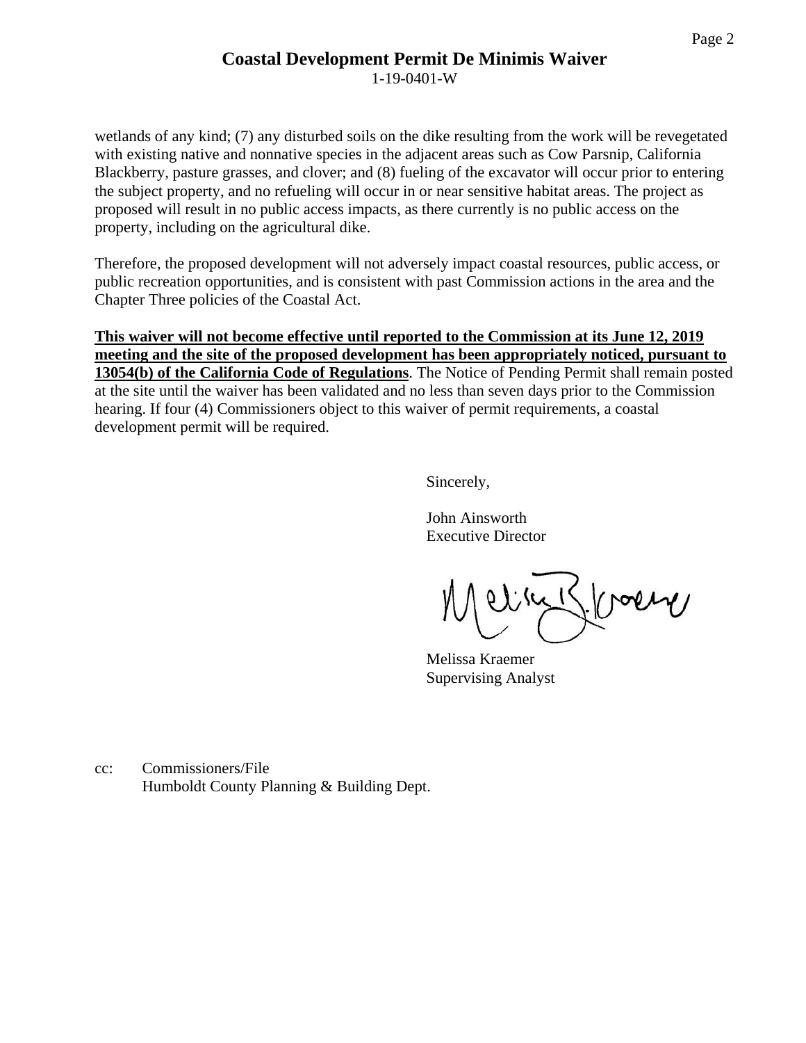### **Coastal Development Permit De Minimis Waiver**

1-19-0401-W

wetlands of any kind; (7) any disturbed soils on the dike resulting from the work will be revegetated with existing native and nonnative species in the adjacent areas such as Cow Parsnip, California Blackberry, pasture grasses, and clover; and (8) fueling of the excavator will occur prior to entering the subject property, and no refueling will occur in or near sensitive habitat areas. The project as proposed will result in no public access impacts, as there currently is no public access on the property, including on the agricultural dike.

Therefore, the proposed development will not adversely impact coastal resources, public access, or public recreation opportunities, and is consistent with past Commission actions in the area and the Chapter Three policies of the Coastal Act.

**This waiver will not become effective until reported to the Commission at its June 12, 2019 meeting and the site of the proposed development has been appropriately noticed, pursuant to 13054(b) of the California Code of Regulations**. The Notice of Pending Permit shall remain posted at the site until the waiver has been validated and no less than seven days prior to the Commission hearing. If four (4) Commissioners object to this waiver of permit requirements, a coastal development permit will be required.

Sincerely,

John Ainsworth Executive Director

line Kloche

Melissa Kraemer Supervising Analyst

cc: Commissioners/File Humboldt County Planning & Building Dept.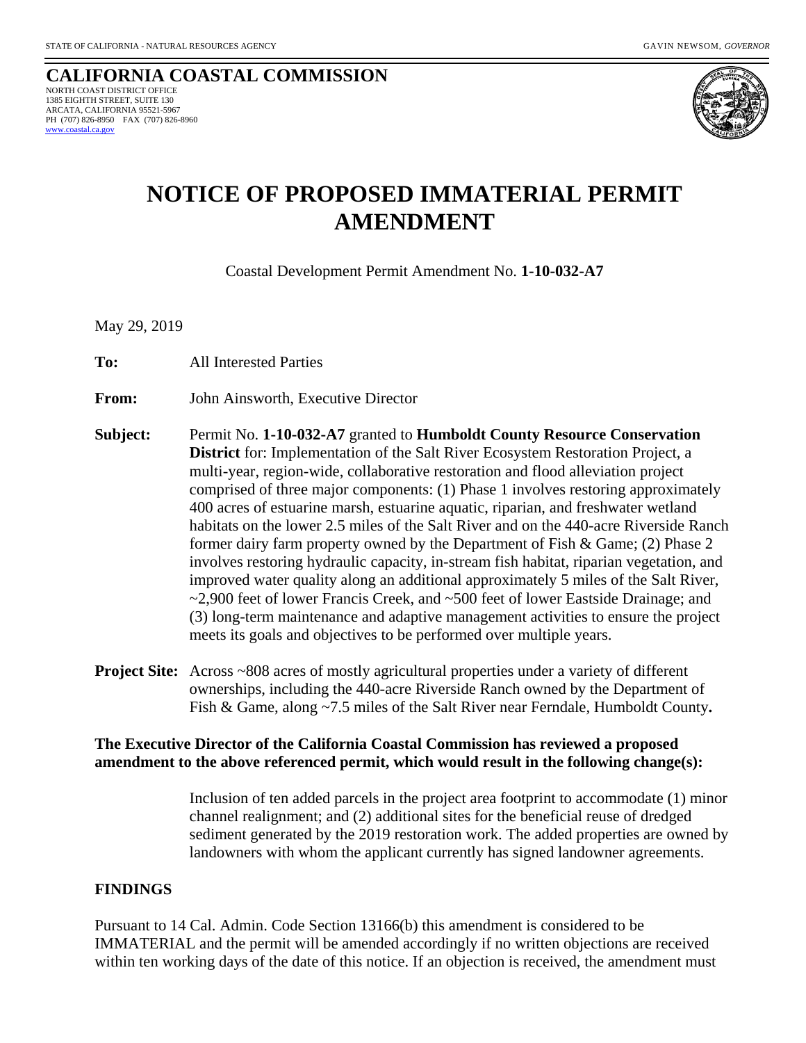**CALIFORNIA COASTAL COMMISSION** NORTH COAST DISTRICT OFFICE 1385 EIGHTH STREET, SUITE 130 ARCATA, CALIFORNIA 95521-5967 PH (707) 826-8950 FAX (707) 826-8960  [www.coastal.ca.gov](http://www.coastal.ca.gov/)



### **NOTICE OF PROPOSED IMMATERIAL PERMIT AMENDMENT**

Coastal Development Permit Amendment No. **1-10-032-A7**

May 29, 2019

**To:**All Interested Parties

**From:** John Ainsworth, Executive Director

- **Subject:** Permit No. **1-10-032-A7** granted to **Humboldt County Resource Conservation District** for: Implementation of the Salt River Ecosystem Restoration Project, a multi-year, region-wide, collaborative restoration and flood alleviation project comprised of three major components: (1) Phase 1 involves restoring approximately 400 acres of estuarine marsh, estuarine aquatic, riparian, and freshwater wetland habitats on the lower 2.5 miles of the Salt River and on the 440-acre Riverside Ranch former dairy farm property owned by the Department of Fish & Game; (2) Phase 2 involves restoring hydraulic capacity, in-stream fish habitat, riparian vegetation, and improved water quality along an additional approximately 5 miles of the Salt River, ~2,900 feet of lower Francis Creek, and ~500 feet of lower Eastside Drainage; and (3) long-term maintenance and adaptive management activities to ensure the project meets its goals and objectives to be performed over multiple years.
- **Project Site:** Across ~808 acres of mostly agricultural properties under a variety of different ownerships, including the 440-acre Riverside Ranch owned by the Department of Fish & Game, along ~7.5 miles of the Salt River near Ferndale, Humboldt County**.**

### **The Executive Director of the California Coastal Commission has reviewed a proposed amendment to the above referenced permit, which would result in the following change(s):**

 Inclusion of ten added parcels in the project area footprint to accommodate (1) minor channel realignment; and (2) additional sites for the beneficial reuse of dredged sediment generated by the 2019 restoration work. The added properties are owned by landowners with whom the applicant currently has signed landowner agreements.

#### **FINDINGS**

Pursuant to 14 Cal. Admin. Code Section 13166(b) this amendment is considered to be IMMATERIAL and the permit will be amended accordingly if no written objections are received within ten working days of the date of this notice. If an objection is received, the amendment must